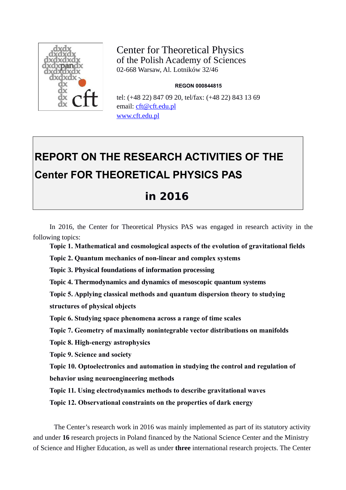

Center for Theoretical Physics of the Polish Academy of Sciences 02-668 Warsaw, Al. Lotników 32/46

#### **REGON 000844815**

tel: (+48 22) 847 09 20, tel/fax: (+48 22) 843 13 69 email: [cft@cft.edu.pl](mailto:cft@cft.edu.pl) [www.cft.edu.pl](http://www.cft.edu.pl/)

# **REPORT ON THE RESEARCH ACTIVITIES OF THE Center FOR THEORETICAL PHYSICS PAS**

# **in 2016**

In 2016, the Center for Theoretical Physics PAS was engaged in research activity in the following topics:

**Topic 1. Mathematical and cosmological aspects of the evolution of gravitational fields**

**Topic 2. Quantum mechanics of non-linear and complex systems**

**Topic 3. Physical foundations of information processing**

**Topic 4. Thermodynamics and dynamics of mesoscopic quantum systems**

**Topic 5. Applying classical methods and quantum dispersion theory to studying structures of physical objects**

**Topic 6. Studying space phenomena across a range of time scales**

**Topic 7. Geometry of maximally nonintegrable vector distributions on manifolds** 

**Topic 8. High-energy astrophysics**

**Topic 9. Science and society**

**Topic 10. Optoelectronics and automation in studying the control and regulation of** 

**behavior using neuroengineering methods**

**Topic 11. Using electrodynamics methods to describe gravitational waves**

**Topic 12. Observational constraints on the properties of dark energy** 

The Center's research work in 2016 was mainly implemented as part of its statutory activity and under **16** research projects in Poland financed by the National Science Center and the Ministry of Science and Higher Education, as well as under **three** international research projects. The Center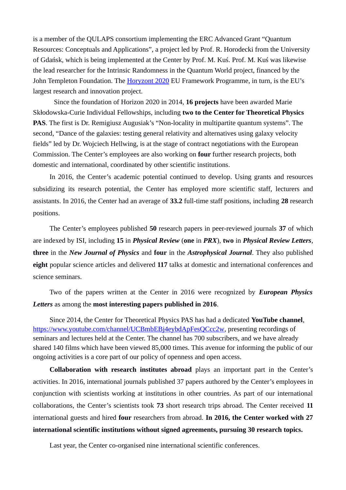is a member of the QULAPS consortium implementing the ERC Advanced Grant "Quantum Resources: Conceptuals and Applications", a project led by Prof. R. Horodecki from the University of Gdańsk, which is being implemented at the Center by Prof. M. Kuś. Prof. M. Kuś was likewise the lead researcher for the Intrinsic Randomness in the Quantum World project, financed by the John Templeton Foundation. The [Horyzont 2020](http://ec.europa.eu/programmes/horizon2020/en) EU Framework Programme, in turn, is the EU's largest research and innovation project.

Since the foundation of Horizon 2020 in 2014, **16 projects** have been awarded Marie Skłodowska-Curie Individual Fellowships, including **two to the Center for Theoretical Physics PAS**. The first is Dr. Remigiusz Augusiak's "Non-locality in multipartite quantum systems". The second, "Dance of the galaxies: testing general relativity and alternatives using galaxy velocity fields" led by Dr. Wojciech Hellwing, is at the stage of contract negotiations with the European Commission. The Center's employees are also working on **four** further research projects, both domestic and international, coordinated by other scientific institutions.

In 2016, the Center's academic potential continued to develop. Using grants and resources subsidizing its research potential, the Center has employed more scientific staff, lecturers and assistants. In 2016, the Center had an average of **33.2** full-time staff positions, including **28** research positions.

The Center's employees published **50** research papers in peer-reviewed journals **37** of which are indexed by ISI, including **15** in *Physical Review* (**one** in *PRX*), **two** in *Physical Review Letters*, **three** in the *New Journal of Physics* and **four** in the *Astrophysical Journal*. They also published **eight** popular science articles and delivered **117** talks at domestic and international conferences and science seminars.

Two of the papers written at the Center in 2016 were recognized by *European Physics Letters* as among the **most interesting papers published in 2016**.

Since 2014, the Center for Theoretical Physics PAS has had a dedicated **YouTube channel**, [https://www.youtube.com/channel/UCBmbEBj4eybdApFesQCcc2w,](https://www.youtube.com/channel/UCBmbEBj4eybdApFesQCcc2w) presenting recordings of seminars and lectures held at the Center. The channel has 700 subscribers, and we have already shared 140 films which have been viewed 85,000 times. This avenue for informing the public of our ongoing activities is a core part of our policy of openness and open access.

**Collaboration with research institutes abroad** plays an important part in the Center's activities. In 2016, international journals published 37 papers authored by the Center's employees in conjunction with scientists working at institutions in other countries. As part of our international collaborations, the Center's scientists took **73** short research trips abroad. The Center received **11** international guests and hired **four** researchers from abroad. **In 2016, the Center worked with 27 international scientific institutions without signed agreements, pursuing 30 research topics.**

Last year, the Center co-organised nine international scientific conferences.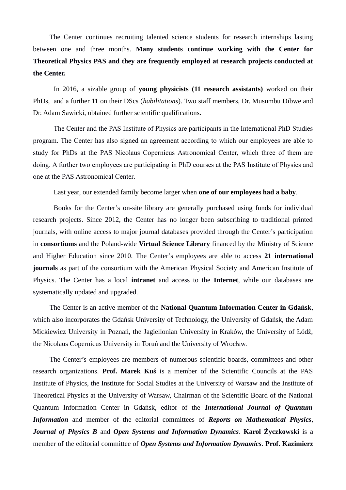The Center continues recruiting talented science students for research internships lasting between one and three months. **Many students continue working with the Center for Theoretical Physics PAS and they are frequently employed at research projects conducted at the Center.**

In 2016, a sizable group of **young physicists (11 research assistants)** worked on their PhDs, and a further 11 on their DScs (*habilitations*). Two staff members, Dr. Musumbu Dibwe and Dr. Adam Sawicki, obtained further scientific qualifications.

The Center and the PAS Institute of Physics are participants in the International PhD Studies program. The Center has also signed an agreement according to which our employees are able to study for PhDs at the PAS Nicolaus Copernicus Astronomical Center, which three of them are doing. A further two employees are participating in PhD courses at the PAS Institute of Physics and one at the PAS Astronomical Center.

Last year, our extended family become larger when **one of our employees had a baby**.

Books for the Center's on-site library are generally purchased using funds for individual research projects. Since 2012, the Center has no longer been subscribing to traditional printed journals, with online access to major journal databases provided through the Center's participation in **consortiums** and the Poland-wide **Virtual Science Library** financed by the Ministry of Science and Higher Education since 2010. The Center's employees are able to access **21 international journals** as part of the consortium with the American Physical Society and American Institute of Physics. The Center has a local **intranet** and access to the **Internet**, while our databases are systematically updated and upgraded.

The Center is an active member of the **National Quantum Information Center in Gdańsk**, which also incorporates the Gdańsk University of Technology, the University of Gdańsk, the Adam Mickiewicz University in Poznań, the Jagiellonian University in Kraków, the University of Łódź, the Nicolaus Copernicus University in Toruń and the University of Wrocław.

The Center's employees are members of numerous scientific boards, committees and other research organizations. **Prof. Marek Kuś** is a member of the Scientific Councils at the PAS Institute of Physics, the Institute for Social Studies at the University of Warsaw and the Institute of Theoretical Physics at the University of Warsaw, Chairman of the Scientific Board of the National Quantum Information Center in Gdańsk, editor of the *International Journal of Quantum Information* and member of the editorial committees of *Reports on Mathematical Physics*, *Journal of Physics B* and *Open Systems and Information Dynamics*. **Karol Życzkowski** is a member of the editorial committee of *Open Systems and Information Dynamics*. **Prof. Kazimierz**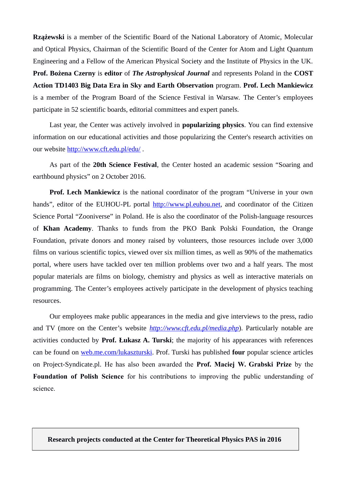**Rzążewski** is a member of the Scientific Board of the National Laboratory of Atomic, Molecular and Optical Physics, Chairman of the Scientific Board of the Center for Atom and Light Quantum Engineering and a Fellow of the American Physical Society and the Institute of Physics in the UK. **Prof. Bożena Czerny** is **editor** of *The Astrophysical Journal* and represents Poland in the **COST Action TD1403 Big Data Era in Sky and Earth Observation** program. **Prof. Lech Mankiewicz** is a member of the Program Board of the Science Festival in Warsaw. The Center's employees participate in 52 scientific boards, editorial committees and expert panels.

Last year, the Center was actively involved in **popularizing physics**. You can find extensive information on our educational activities and those popularizing the Center's research activities on our website http://www.cft.edu.pl/edu/.

As part of the **20th Science Festival**, the Center hosted an academic session "Soaring and earthbound physics" on 2 October 2016.

**Prof. Lech Mankiewicz** is the national coordinator of the program "Universe in your own hands", editor of the EUHOU-PL portal [http://www.pl.euhou.net,](http://www.pl.euhou.net/) and coordinator of the Citizen Science Portal "Zooniverse" in Poland. He is also the coordinator of the Polish-language resources of **Khan Academy**. Thanks to funds from the PKO Bank Polski Foundation, the Orange Foundation, private donors and money raised by volunteers, those resources include over 3,000 films on various scientific topics, viewed over six million times, as well as 90% of the mathematics portal, where users have tackled over ten million problems over two and a half years. The most popular materials are films on biology, chemistry and physics as well as interactive materials on programming. The Center's employees actively participate in the development of physics teaching resources.

Our employees make public appearances in the media and give interviews to the press, radio and TV (more on the Center's website *<http://www.cft.edu.pl/media.php>*). Particularly notable are activities conducted by **Prof. Łukasz A. Turski**; the majority of his appearances with references can be found on [web.me.com/lukaszturski.](http://web.me.com/lukaszturski) Prof. Turski has published **four** popular science articles on Project-Syndicate.pl. He has also been awarded the **Prof. Maciej W. Grabski Prize** by the **Foundation of Polish Science** for his contributions to improving the public understanding of science.

**Research projects conducted at the Center for Theoretical Physics PAS in 2016**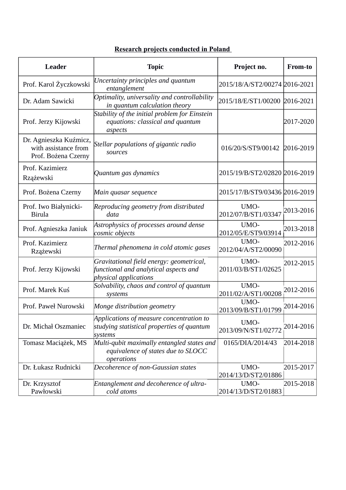### **Research projects conducted in Poland**

| <b>Leader</b>                                                         | <b>Topic</b>                                                                                               | Project no.                   | From-to   |
|-----------------------------------------------------------------------|------------------------------------------------------------------------------------------------------------|-------------------------------|-----------|
| Prof. Karol Życzkowski                                                | Uncertainty principles and quantum<br>entanglement                                                         | 2015/18/A/ST2/00274 2016-2021 |           |
| Dr. Adam Sawicki                                                      | Optimality, universality and controllability<br>in quantum calculation theory                              | 2015/18/E/ST1/00200 2016-2021 |           |
| Prof. Jerzy Kijowski                                                  | Stability of the initial problem for Einstein<br>equations: classical and quantum<br>aspects               |                               | 2017-2020 |
| Dr. Agnieszka Kuźmicz,<br>with assistance from<br>Prof. Bożena Czerny | Stellar populations of gigantic radio<br>sources                                                           | 016/20/S/ST9/00142            | 2016-2019 |
| Prof. Kazimierz<br>Rzążewski                                          | Quantum gas dynamics                                                                                       | 2015/19/B/ST2/02820 2016-2019 |           |
| Prof. Bożena Czerny                                                   | Main quasar sequence                                                                                       | 2015/17/B/ST9/03436 2016-2019 |           |
| Prof. Iwo Białynicki-<br><b>Birula</b>                                | Reproducing geometry from distributed<br>data                                                              | UMO-<br>2012/07/B/ST1/03347   | 2013-2016 |
| Prof. Agnieszka Janiuk                                                | Astrophysics of processes around dense<br>cosmic objects                                                   | UMO-<br>2012/05/E/ST9/03914   | 2013-2018 |
| Prof. Kazimierz<br>Rzążewski                                          | Thermal phenomena in cold atomic gases                                                                     | UMO-<br>2012/04/A/ST2/00090   | 2012-2016 |
| Prof. Jerzy Kijowski                                                  | Gravitational field energy: geometrical,<br>functional and analytical aspects and<br>physical applications | UMO-<br>2011/03/B/ST1/02625   | 2012-2015 |
| Prof. Marek Kuś                                                       | Solvability, chaos and control of quantum<br>systems                                                       | UMO-<br>2011/02/A/ST1/00208   | 2012-2016 |
| Prof. Paweł Nurowski                                                  | Monge distribution geometry                                                                                | UMO-<br>2013/09/B/ST1/01799   | 2014-2016 |
| Dr. Michał Oszmaniec                                                  | Applications of measure concentration to<br>studying statistical properties of quantum<br>systems          | UMO-<br>2013/09/N/ST1/02772   | 2014-2016 |
| Tomasz Maciążek, MS                                                   | Multi-qubit maximally entangled states and<br>equivalence of states due to SLOCC<br>operations             | 0165/DIA/2014/43              | 2014-2018 |
| Dr. Łukasz Rudnicki                                                   | Decoherence of non-Gaussian states                                                                         | UMO-<br>2014/13/D/ST2/01886   | 2015-2017 |
| Dr. Krzysztof<br>Pawłowski                                            | Entanglement and decoherence of ultra-<br>cold atoms                                                       | UMO-<br>2014/13/D/ST2/01883   | 2015-2018 |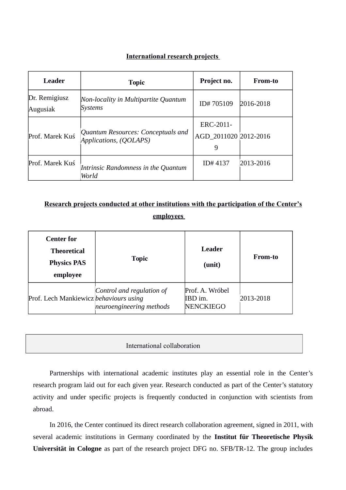#### **International research projects**

| Leader                    | <b>Topic</b>                                                 | Project no.                             | <b>From-to</b> |
|---------------------------|--------------------------------------------------------------|-----------------------------------------|----------------|
| Dr. Remigiusz<br>Augusiak | Non-locality in Multipartite Quantum<br>Systems              | ID#705109                               | 2016-2018      |
| Prof. Marek Kuś           | Quantum Resources: Conceptuals and<br>Applications, (QOLAPS) | ERC-2011-<br>AGD_2011020 2012-2016<br>9 |                |
| Prof. Marek Kuś           | Intrinsic Randomness in the Quantum<br>World                 | ID#4137                                 | 2013-2016      |

### **Research projects conducted at other institutions with the participation of the Center's employees**

| <b>Center for</b><br><b>Theoretical</b><br><b>Physics PAS</b><br>employee | <b>Topic</b>                                          | Leader<br>(unit)                               | <b>From-to</b> |
|---------------------------------------------------------------------------|-------------------------------------------------------|------------------------------------------------|----------------|
| Prof. Lech Mankiewicz behaviours using                                    | Control and regulation of<br>neuroengineering methods | Prof. A. Wróbel<br>IBD im.<br><b>NENCKIEGO</b> | 2013-2018      |

#### International collaboration

Partnerships with international academic institutes play an essential role in the Center's research program laid out for each given year. Research conducted as part of the Center's statutory activity and under specific projects is frequently conducted in conjunction with scientists from abroad.

In 2016, the Center continued its direct research collaboration agreement, signed in 2011, with several academic institutions in Germany coordinated by the **Institut für Theoretische Physik Universität in Cologne** as part of the research project DFG no. SFB/TR-12. The group includes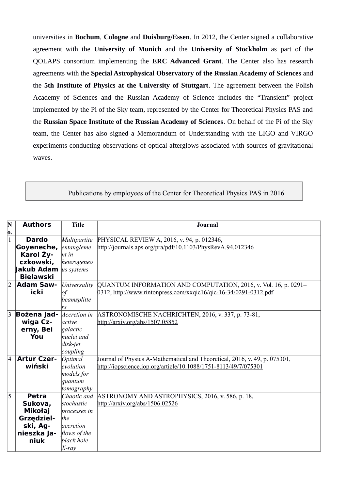universities in **Bochum**, **Cologne** and **Duisburg/Essen**. In 2012, the Center signed a collaborative agreement with the **University of Munich** and the **University of Stockholm** as part of the QOLAPS consortium implementing the **ERC Advanced Grant**. The Center also has research agreements with the **Special Astrophysical Observatory of the Russian Academy of Sciences** and the **5th Institute of Physics at the University of Stuttgart**. The agreement between the Polish Academy of Sciences and the Russian Academy of Science includes the "Transient" project implemented by the Pi of the Sky team, represented by the Center for Theoretical Physics PAS and the **Russian Space Institute of the Russian Academy of Sciences**. On behalf of the Pi of the Sky team, the Center has also signed a Memorandum of Understanding with the LIGO and VIRGO experiments conducting observations of optical afterglows associated with sources of gravitational waves.

#### Publications by employees of the Center for Theoretical Physics PAS in 2016

| $\mathbf N$<br>о. | <b>Authors</b>                                                                                                  | <b>Title</b>                                                                                                | <b>Journal</b>                                                                                                                                |
|-------------------|-----------------------------------------------------------------------------------------------------------------|-------------------------------------------------------------------------------------------------------------|-----------------------------------------------------------------------------------------------------------------------------------------------|
| 1                 | <b>Dardo</b><br>Goyeneche,<br>Karol Ży-<br>czkowski,<br><b>Jakub Adam</b> <i>us systems</i><br><b>Bielawski</b> | Multipartite<br>entangleme<br>$nt$ in<br>heterogeneo                                                        | PHYSICAL REVIEW A, 2016, v. 94, p. 012346,<br>http://journals.aps.org/pra/pdf/10.1103/PhysRevA.94.012346                                      |
| $\overline{2}$    | <b>Adam Saw-</b><br>icki                                                                                        | Universality<br>of<br>beamsplitte<br>rs                                                                     | QUANTUM INFORMATION AND COMPUTATION, 2016, v. Vol. 16, p. 0291-<br>0312, http://www.rintonpress.com/xxqic16/qic-16-34/0291-0312.pdf           |
| $\overline{3}$    | <b>Bożena Jad-</b><br>wiga Cz-<br>erny, Bei<br>You                                                              | Accretion in<br>active<br>galactic<br>nuclei and<br>disk-jet<br>coupling                                    | ASTRONOMISCHE NACHRICHTEN, 2016, v. 337, p. 73-81,<br>http://arxiv.org/abs/1507.05852                                                         |
| $\overline{4}$    | <b>Artur Czer-</b><br>wiński                                                                                    | Optimal<br>evolution<br>models for<br>quantum<br>tomography                                                 | Journal of Physics A-Mathematical and Theoretical, 2016, v. 49, p. 075301,<br>http://iopscience.iop.org/article/10.1088/1751-8113/49/7/075301 |
| 5                 | <b>Petra</b><br>Sukova,<br>Mikołaj<br>Grzędziel-<br>ski, Ag-<br>nieszka Ja-<br>niuk                             | Chaotic and<br>stochastic<br><i>processes in</i><br>the<br>accretion<br>flows of the<br>black hole<br>X-ray | ASTRONOMY AND ASTROPHYSICS, 2016, v. 586, p. 18,<br>http://arxiv.org/abs/1506.02526                                                           |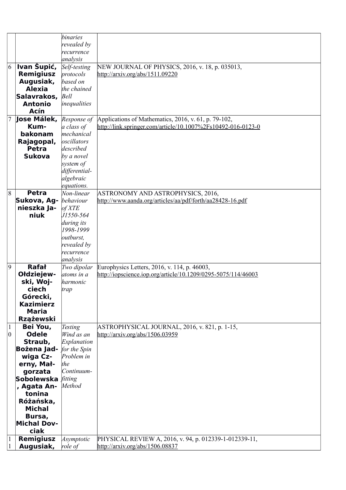|                  |                    | binaries                     |                                                                                  |
|------------------|--------------------|------------------------------|----------------------------------------------------------------------------------|
|                  |                    | revealed by                  |                                                                                  |
|                  |                    | recurrence                   |                                                                                  |
|                  |                    | analysis                     |                                                                                  |
| 6                | Ivan Šupić,        | Self-testing                 | NEW JOURNAL OF PHYSICS, 2016, v. 18, p. 035013,                                  |
|                  | <b>Remigiusz</b>   | protocols                    | http://arxiv.org/abs/1511.09220                                                  |
|                  | Augusiak,          | based on                     |                                                                                  |
|                  | <b>Alexia</b>      | the chained                  |                                                                                  |
|                  | Salavrakos.        | Bell                         |                                                                                  |
|                  | <b>Antonio</b>     | inequalities                 |                                                                                  |
|                  | Acín               |                              |                                                                                  |
|                  |                    |                              |                                                                                  |
|                  | Jose Málek,        | Response of                  | Applications of Mathematics, 2016, v. 61, p. 79-102,                             |
|                  | Kum-               | a class of                   | http://link.springer.com/article/10.1007%2Fs10492-016-0123-0                     |
|                  | bakonam            | mechanical                   |                                                                                  |
|                  | Rajagopal,         | oscillators                  |                                                                                  |
|                  | Petra              | described                    |                                                                                  |
|                  | <b>Sukova</b>      | by a novel                   |                                                                                  |
|                  |                    | system of                    |                                                                                  |
|                  |                    | differential-                |                                                                                  |
|                  |                    | algebraic                    |                                                                                  |
|                  |                    | equations.                   |                                                                                  |
| $\overline{8}$   | <b>Petra</b>       | $\overline{Non-linear}$      | ASTRONOMY AND ASTROPHYSICS, 2016,                                                |
|                  | Sukova, Ag-        | behaviour                    | http://www.aanda.org/articles/aa/pdf/forth/aa28428-16.pdf                        |
|                  | nieszka Ja-        | of XTE                       |                                                                                  |
|                  | niuk               | J1550-564                    |                                                                                  |
|                  |                    | during its                   |                                                                                  |
|                  |                    | 1998-1999                    |                                                                                  |
|                  |                    | <i>outburst</i> ,            |                                                                                  |
|                  |                    | revealed by                  |                                                                                  |
|                  |                    | recurrence                   |                                                                                  |
|                  |                    | analysis                     |                                                                                  |
| $ 9\rangle$      | <b>Rafał</b>       | Two dipolar                  | Europhysics Letters, 2016, v. 114, p. 46003,                                     |
|                  | Ołdziejew-         | atoms in a                   | http://iopscience.iop.org/article/10.1209/0295-5075/114/46003                    |
|                  | ski, Woj-          | harmonic                     |                                                                                  |
|                  | ciech              | trap                         |                                                                                  |
|                  | Górecki,           |                              |                                                                                  |
|                  | <b>Kazimierz</b>   |                              |                                                                                  |
|                  | Maria              |                              |                                                                                  |
|                  | <b>Rzążewski</b>   |                              |                                                                                  |
|                  | Bei You,           |                              |                                                                                  |
| 1<br>$ 0\rangle$ | <b>Odele</b>       | <b>Testing</b><br>Wind as an | ASTROPHYSICAL JOURNAL, 2016, v. 821, p. 1-15,<br>http://arxiv.org/abs/1506.03959 |
|                  | Straub,            | Explanation                  |                                                                                  |
|                  |                    |                              |                                                                                  |
|                  | Bożena Jad-        | for the Spin<br>Problem in   |                                                                                  |
|                  | wiga Cz-           |                              |                                                                                  |
|                  | erny, Mał-         | the                          |                                                                                  |
|                  | gorzata            | Continuum-                   |                                                                                  |
|                  | Sobolewska fitting |                              |                                                                                  |
|                  | , Agata An-        | Method                       |                                                                                  |
|                  | tonina             |                              |                                                                                  |
|                  | Różańska,          |                              |                                                                                  |
|                  | <b>Michal</b>      |                              |                                                                                  |
|                  | Bursa,             |                              |                                                                                  |
|                  | <b>Michal Dov-</b> |                              |                                                                                  |
|                  | ciak               |                              |                                                                                  |
| $\mathbf{1}$     | <b>Remigiusz</b>   | Asymptotic                   | PHYSICAL REVIEW A, 2016, v. 94, p. 012339-1-012339-11,                           |
|                  | Augusiak,          | role of                      | http://arxiv.org/abs/1506.08837                                                  |
|                  |                    |                              |                                                                                  |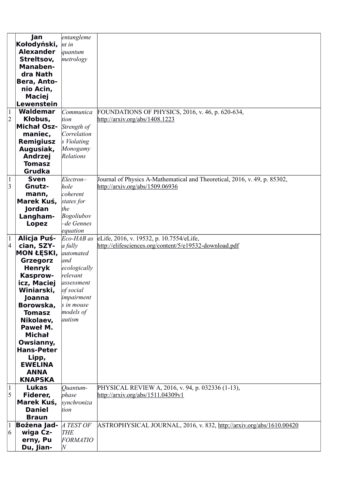|                | Jan                | entangleme      |                                                                           |
|----------------|--------------------|-----------------|---------------------------------------------------------------------------|
|                | Kołodyński,        | nt in           |                                                                           |
|                | <b>Alexander</b>   | quantum         |                                                                           |
|                |                    |                 |                                                                           |
|                | Streltsov,         | metrology       |                                                                           |
|                | Manaben-           |                 |                                                                           |
|                | dra Nath           |                 |                                                                           |
|                | Bera, Anto-        |                 |                                                                           |
|                | nio Acin,          |                 |                                                                           |
|                | <b>Maciej</b>      |                 |                                                                           |
|                | Lewenstein         |                 |                                                                           |
| $\mathbf{1}$   | Waldemar           | Communica       | FOUNDATIONS OF PHYSICS, 2016, v. 46, p. 620-634,                          |
| $\overline{2}$ | Kłobus,            | tion            | http://arxiv.org/abs/1408.1223                                            |
|                | <b>Michał Osz-</b> |                 |                                                                           |
|                |                    | Strength of     |                                                                           |
|                | maniec,            | Correlation     |                                                                           |
|                | Remigiusz          | s Violating     |                                                                           |
|                | Augusiak,          | Monogamy        |                                                                           |
|                | <b>Andrzej</b>     | Relations       |                                                                           |
|                | <b>Tomasz</b>      |                 |                                                                           |
|                | <b>Grudka</b>      |                 |                                                                           |
| 1              | <b>Sven</b>        | $Electron-$     | Journal of Physics A-Mathematical and Theoretical, 2016, v. 49, p. 85302, |
| 3              | Gnutz-             | hole            | http://arxiv.org/abs/1509.06936                                           |
|                |                    | coherent        |                                                                           |
|                | mann,              |                 |                                                                           |
|                | Marek Kuś,         | states for      |                                                                           |
|                | Jordan             | the             |                                                                           |
|                | Langham-           | Bogoliubov      |                                                                           |
|                | Lopez              | -de Gennes      |                                                                           |
|                |                    | equation        |                                                                           |
| $\mathbf{1}$   | Alicja Puś-        | Eco-HAB as      | eLife, 2016, v. 19532, p. 10.7554/eLife,                                  |
| $\overline{4}$ | cian, SZY-         | a fully         | http://elifesciences.org/content/5/e19532-download.pdf                    |
|                | <b>MON ŁĘSKI,</b>  | automated       |                                                                           |
|                | <b>Grzegorz</b>    | and             |                                                                           |
|                | <b>Henryk</b>      | ecologically    |                                                                           |
|                | Kasprow-           | relevant        |                                                                           |
|                |                    |                 |                                                                           |
|                | icz, Maciej        | assessment      |                                                                           |
|                | Winiarski,         | of social       |                                                                           |
|                | Joanna             | impairment      |                                                                           |
|                | Borowska,          | s in mouse      |                                                                           |
|                | <b>Tomasz</b>      | models of       |                                                                           |
|                | Nikolaev,          | autism          |                                                                           |
|                | Paweł M.           |                 |                                                                           |
|                | <b>Michał</b>      |                 |                                                                           |
|                | Owsianny,          |                 |                                                                           |
|                | <b>Hans-Peter</b>  |                 |                                                                           |
|                | Lipp,              |                 |                                                                           |
|                | <b>EWELINA</b>     |                 |                                                                           |
|                | <b>ANNA</b>        |                 |                                                                           |
|                |                    |                 |                                                                           |
|                | <b>KNAPSKA</b>     |                 |                                                                           |
| $\mathbf{1}$   | <b>Lukas</b>       | Ouantum-        | PHYSICAL REVIEW A, 2016, v. 94, p. 032336 (1-13),                         |
| 5              | Fiderer,           | phase           | http://arxiv.org/abs/1511.04309v1                                         |
|                | Marek Kuś,         | synchroniza     |                                                                           |
|                | <b>Daniel</b>      | tion            |                                                                           |
|                | <b>Braun</b>       |                 |                                                                           |
|                | <b>Bożena Jad-</b> | A TEST OF       | ASTROPHYSICAL JOURNAL, 2016, v. 832, http://arxiv.org/abs/1610.00420      |
| 6              | wiga Cz-           | <b>THE</b>      |                                                                           |
|                | erny, Pu           | <b>FORMATIO</b> |                                                                           |
|                |                    |                 |                                                                           |
|                | Du, Jian-          | $\overline{N}$  |                                                                           |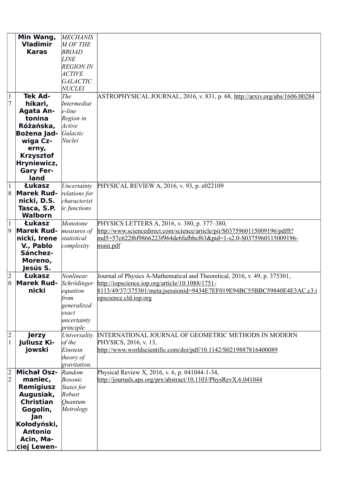|                 | Min Wang,          | <b>MECHANIS</b>  |                                                                             |
|-----------------|--------------------|------------------|-----------------------------------------------------------------------------|
|                 | <b>Vladimir</b>    | <b>M OF THE</b>  |                                                                             |
|                 | <b>Karas</b>       | <b>BROAD</b>     |                                                                             |
|                 |                    | <b>LINE</b>      |                                                                             |
|                 |                    |                  |                                                                             |
|                 |                    | <b>REGION IN</b> |                                                                             |
|                 |                    | <i>ACTIVE</i>    |                                                                             |
|                 |                    | <b>GALACTIC</b>  |                                                                             |
|                 |                    | <b>NUCLEI</b>    |                                                                             |
|                 |                    |                  |                                                                             |
| 1               | <b>Tek Ad-</b>     | The              | ASTROPHYSICAL JOURNAL, 2016, v. 831, p. 68, http://arxiv.org/abs/1606.00284 |
| 7               | hikari,            | Intermediat      |                                                                             |
|                 | <b>Agata An-</b>   | $e$ -line        |                                                                             |
|                 | tonina             | Region in        |                                                                             |
|                 |                    |                  |                                                                             |
|                 | Różańska,          | Active           |                                                                             |
|                 | Bożena Jad-        | Galactic         |                                                                             |
|                 | wiga Cz-           | Nuclei           |                                                                             |
|                 | erny,              |                  |                                                                             |
|                 | <b>Krzysztof</b>   |                  |                                                                             |
|                 |                    |                  |                                                                             |
|                 | Hryniewicz,        |                  |                                                                             |
|                 | <b>Gary Fer-</b>   |                  |                                                                             |
|                 | land               |                  |                                                                             |
| $\mathbf{1}$    | Łukasz             | Uncertainty      | PHYSICAL REVIEW A, 2016, v. 93, p. e022109                                  |
|                 |                    |                  |                                                                             |
| 8               | <b>Marek Rud-</b>  | relations for    |                                                                             |
|                 | nicki, D.S.        | characterist     |                                                                             |
|                 | Tasca, S.P.        | ic functions     |                                                                             |
|                 | <b>Walborn</b>     |                  |                                                                             |
| 1               | <b>Łukasz</b>      | Monotone         | PHYSICS LETTERS A, 2016, v. 380, p. 377–380,                                |
|                 |                    |                  |                                                                             |
| 9               | <b>Marek Rud-</b>  | measures of      | http://www.sciencedirect.com/science/article/pii/S0375960115009196/pdfft?   |
|                 | nicki, Irene       | statistical      | md5=57c622f6f9866223f964de6fafbbcf63&pid=1-s2.0-S0375960115009196-          |
|                 | V., Pablo          | complexity       | main.pdf                                                                    |
|                 | Sánchez-           |                  |                                                                             |
|                 | Moreno,            |                  |                                                                             |
|                 |                    |                  |                                                                             |
|                 | Jesús S.           |                  |                                                                             |
| $\overline{2}$  | Łukasz             | Nonlinear        | Journal of Physics A-Mathematical and Theoretical, 2016, v. 49, p. 375301,  |
| $\vert 0 \vert$ | <b>Marek Rud-</b>  | Schrödinger      | http://iopscience.iop.org/article/10.1088/1751-                             |
|                 | nicki              | equation         | 8113/49/37/375301/meta;jsessionid=9434E7EF019E94BC55BBC59840E4E3AC.c3.i     |
|                 |                    | from             | opscience.cld.iop.org                                                       |
|                 |                    | generalized      |                                                                             |
|                 |                    |                  |                                                                             |
|                 |                    | exact            |                                                                             |
|                 |                    | uncertainty      |                                                                             |
|                 |                    | principle        |                                                                             |
| $\mathbf{2}$    | <b>Jerzy</b>       | Universality     | <b>INTERNATIONAL JOURNAL OF GEOMETRIC METHODS IN MODERN</b>                 |
| $\mathbf{1}$    | Juliusz Ki-        | of the           | PHYSICS, 2016, v. 13,                                                       |
|                 | jowski             | Einstein         | http://www.worldscientific.com/doi/pdf/10.1142/S0219887816400089            |
|                 |                    |                  |                                                                             |
|                 |                    | theory of        |                                                                             |
|                 |                    | gravitation.     |                                                                             |
| $\overline{2}$  | <b>Michał Osz-</b> | Random           | Physical Review X, 2016, v. 6, p. 041044-1-34,                              |
| $ 2\rangle$     | maniec,            | <b>Bosonic</b>   | http://journals.aps.org/prx/abstract/10.1103/PhysRevX.6.041044              |
|                 | <b>Remigiusz</b>   | States for       |                                                                             |
|                 | Augusiak,          | Robust           |                                                                             |
|                 |                    |                  |                                                                             |
|                 | <b>Christian</b>   | Ouantum          |                                                                             |
|                 | Gogolin,           | Metrology        |                                                                             |
|                 | Jan                |                  |                                                                             |
|                 | Kołodyński,        |                  |                                                                             |
|                 | <b>Antonio</b>     |                  |                                                                             |
|                 |                    |                  |                                                                             |
|                 | Acin, Ma-          |                  |                                                                             |
|                 | ciej Lewen-        |                  |                                                                             |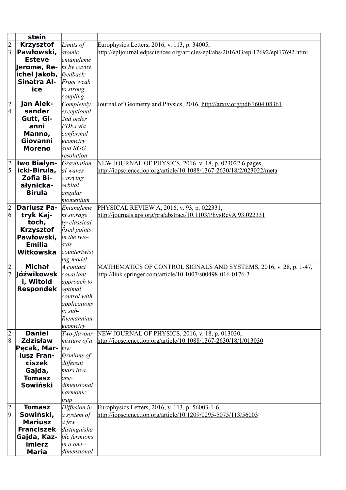|                         | stein              |              |                                                                                   |
|-------------------------|--------------------|--------------|-----------------------------------------------------------------------------------|
| $\overline{c}$          | <b>Krzysztof</b>   | Limits of    | Europhysics Letters, 2016, v. 113, p. 34005,                                      |
| $\overline{\mathbf{3}}$ | Pawłowski,         | atomic       | http://epljournal.edpsciences.org/articles/epl/abs/2016/03/epl17692/epl17692.html |
|                         | <b>Esteve</b>      | entangleme   |                                                                                   |
|                         | Jerome, Re-        | nt by cavity |                                                                                   |
|                         | ichel Jakob,       | feedback:    |                                                                                   |
|                         | Sinatra Al-        | From weak    |                                                                                   |
|                         | ice                | to strong    |                                                                                   |
|                         |                    | coupling     |                                                                                   |
| $\overline{c}$          | Jan Alek-          | Completely   | Journal of Geometry and Physics, 2016, http://arxiv.org/pdf/1604.08361            |
| $\overline{4}$          | sander             | exceptional  |                                                                                   |
|                         |                    |              |                                                                                   |
|                         | Gutt, Gi-          | 2nd order    |                                                                                   |
|                         | anni               | PDEs via     |                                                                                   |
|                         | Manno,             | conformal    |                                                                                   |
|                         | Giovanni           | geometry     |                                                                                   |
|                         | <b>Moreno</b>      | and $BGG$    |                                                                                   |
|                         |                    | resolution   |                                                                                   |
| $\frac{1}{5}$           | Iwo Białyn-        | Gravitation  | NEW JOURNAL OF PHYSICS, 2016, v. 18, p. 023022 6 pages,                           |
|                         | icki-Birula,       | al waves     | http://iopscience.iop.org/article/10.1088/1367-2630/18/2/023022/meta              |
|                         | Zofia Bi-          | carrying     |                                                                                   |
|                         | ałynicka-          | orbital      |                                                                                   |
|                         | <b>Birula</b>      | angular      |                                                                                   |
|                         |                    | momentum     |                                                                                   |
| $\overline{c}$          | <b>Dariusz Pa-</b> | Entangleme   | PHYSICAL REVIEW A, 2016, v. 93, p. 022331,                                        |
| $\vert 6 \vert$         | tryk Kaj-          | nt storage   | http://journals.aps.org/pra/abstract/10.1103/PhysRevA.93.022331                   |
|                         | toch,              | by classical |                                                                                   |
|                         | <b>Krzysztof</b>   | fixed points |                                                                                   |
|                         | Pawłowski,         | in the two-  |                                                                                   |
|                         | <b>Emilia</b>      | axis         |                                                                                   |
|                         | Witkowska          | countertwist |                                                                                   |
|                         |                    | ing model    |                                                                                   |
| $\overline{2}$          | <b>Michał</b>      | A contact    | MATHEMATICS OF CONTROL SIGNALS AND SYSTEMS, 2016, v. 28, p. 1-47,                 |
|                         | Jóźwikowsk         | covariant    | http://link.springer.com/article/10.1007/s00498-016-0176-3                        |
|                         | i, Witold          | approach to  |                                                                                   |
|                         | <b>Respondek</b>   | optimal      |                                                                                   |
|                         |                    | control with |                                                                                   |
|                         |                    | applications |                                                                                   |
|                         |                    | to sub-      |                                                                                   |
|                         |                    | Riemannian   |                                                                                   |
|                         |                    | geometry     |                                                                                   |
| $ 2\rangle$             | <b>Daniel</b>      | Two-flavour  | NEW JOURNAL OF PHYSICS, 2016, v. 18, p. 013030,                                   |
| 8                       | <b>Zdzisław</b>    | mixture of a | http://iopscience.iop.org/article/10.1088/1367-2630/18/1/013030                   |
|                         | Pecak, Mar-        | few          |                                                                                   |
|                         | iusz Fran-         | fermions of  |                                                                                   |
|                         | ciszek             | different    |                                                                                   |
|                         | Gajda,             | mass in a    |                                                                                   |
|                         | <b>Tomasz</b>      | one-         |                                                                                   |
|                         | Sowiński           | dimensional  |                                                                                   |
|                         |                    | harmonic     |                                                                                   |
|                         |                    | trap         |                                                                                   |
| $\overline{c}$          | <b>Tomasz</b>      | Diffusion in | Europhysics Letters, 2016, v. 113, p. 56003-1-6,                                  |
| 9                       | Sowiński,          | a system of  | http://iopscience.iop.org/article/10.1209/0295-5075/113/56003                     |
|                         | <b>Mariusz</b>     | a few        |                                                                                   |
|                         | <b>Franciszek</b>  | distinguisha |                                                                                   |
|                         | Gajda, Kaz-        | ble fermions |                                                                                   |
|                         | imierz             | in a one--   |                                                                                   |
|                         | <b>Maria</b>       | dimensional  |                                                                                   |
|                         |                    |              |                                                                                   |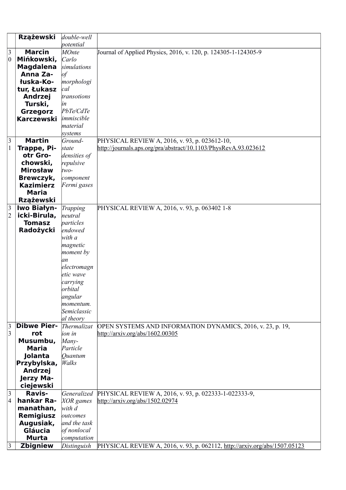|                 | <b>Rzążewski</b>            | double-well     |                                                                                          |
|-----------------|-----------------------------|-----------------|------------------------------------------------------------------------------------------|
|                 |                             | potential       |                                                                                          |
| 3               | <b>Marcin</b>               | <b>MOnte</b>    | Journal of Applied Physics, 2016, v. 120, p. 124305-1-124305-9                           |
| 0               | Mińkowski,                  | Carlo           |                                                                                          |
|                 | <b>Magdalena</b>            | simulations     |                                                                                          |
|                 | Anna Za-                    | $\overline{of}$ |                                                                                          |
|                 | łuska-Ko-                   | morphologi      |                                                                                          |
|                 | tur, Łukasz                 | cal             |                                                                                          |
|                 | <b>Andrzej</b>              | transotions     |                                                                                          |
|                 | Turski,                     | iп              |                                                                                          |
|                 | <b>Grzegorz</b>             | PbTe/CdTe       |                                                                                          |
|                 | Karczewski                  | immiscible      |                                                                                          |
|                 |                             | material        |                                                                                          |
|                 |                             | systems         |                                                                                          |
| $\vert 3 \vert$ | <b>Martin</b>               | Ground-         | PHYSICAL REVIEW A, 2016, v. 93, p. 023612-10,                                            |
| 1               | Trappe, Pi-                 | state           | http://journals.aps.org/pra/abstract/10.1103/PhysRevA.93.023612                          |
|                 | otr Gro-                    | densities of    |                                                                                          |
|                 | chowski,                    | repulsive       |                                                                                          |
|                 | <b>Mirosław</b>             | $two-$          |                                                                                          |
|                 | Brewczyk,                   | component       |                                                                                          |
|                 | <b>Kazimierz</b>            | Fermi gases     |                                                                                          |
|                 | <b>Maria</b>                |                 |                                                                                          |
|                 | <b>Rzążewski</b>            |                 |                                                                                          |
| $\vert 3 \vert$ | Iwo Białyn-                 | Trapping        | PHYSICAL REVIEW A, 2016, v. 93, p. 063402 1-8                                            |
| $\overline{c}$  | icki-Birula,                | neutral         |                                                                                          |
|                 | <b>Tomasz</b>               | particles       |                                                                                          |
|                 | Radożycki                   | endowed         |                                                                                          |
|                 |                             | with a          |                                                                                          |
|                 |                             | magnetic        |                                                                                          |
|                 |                             | moment by       |                                                                                          |
|                 |                             | an              |                                                                                          |
|                 |                             | electromagn     |                                                                                          |
|                 |                             | etic wave       |                                                                                          |
|                 |                             | carrying        |                                                                                          |
|                 |                             | orbital         |                                                                                          |
|                 |                             | angular         |                                                                                          |
|                 |                             | momentum.       |                                                                                          |
|                 |                             | Semiclassic     |                                                                                          |
|                 |                             | al theory       |                                                                                          |
| $\vert$ 3       | <b>Dibwe Pier-</b>          | Thermalizat     | OPEN SYSTEMS AND INFORMATION DYNAMICS, 2016, v. 23, p. 19,                               |
| 3               | rot                         | ion in          | http://arxiv.org/abs/1602.00305                                                          |
|                 | Musumbu,                    | Many-           |                                                                                          |
|                 | Maria                       | Particle        |                                                                                          |
|                 | Jolanta                     | Ouantum         |                                                                                          |
|                 | Przybylska,                 | Walks           |                                                                                          |
|                 | Andrzej                     |                 |                                                                                          |
|                 | Jerzy Ma-                   |                 |                                                                                          |
|                 | ciejewski                   |                 |                                                                                          |
| 3               | Ravis-                      | Generalized     |                                                                                          |
| $\vert 4 \vert$ | hankar Ra-                  | XOR games       | PHYSICAL REVIEW A, 2016, v. 93, p. 022333-1-022333-9,<br>http://arxiv.org/abs/1502.02974 |
|                 | manathan,                   | with d          |                                                                                          |
|                 |                             | outcomes        |                                                                                          |
|                 | <b>Remigiusz</b>            | and the task    |                                                                                          |
|                 | Augusiak,<br><b>Gláucia</b> |                 |                                                                                          |
|                 |                             | of nonlocal     |                                                                                          |
|                 | <b>Murta</b>                | computation     |                                                                                          |
| 3               | <b>Zbigniew</b>             | Distinguish     | PHYSICAL REVIEW A, 2016, v. 93, p. 062112, http://arxiv.org/abs/1507.05123               |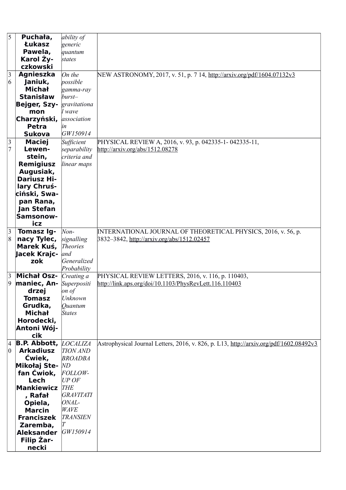| 5               | Puchała,                     | ability of       |                                                                                        |
|-----------------|------------------------------|------------------|----------------------------------------------------------------------------------------|
|                 | <b>Łukasz</b>                | generic          |                                                                                        |
|                 | Pawela,                      | quantum          |                                                                                        |
|                 | Karol Ży-                    | states           |                                                                                        |
|                 | czkowski                     |                  |                                                                                        |
| $\vert 3 \vert$ | Agnieszka                    | On the           | NEW ASTRONOMY, 2017, v. 51, p. 7 14, http://arxiv.org/pdf/1604.07132v3                 |
| $ 6\rangle$     | Janiuk,                      | possible         |                                                                                        |
|                 | <b>Michał</b>                | gamma-ray        |                                                                                        |
|                 | <b>Stanisław</b>             | $burst-$         |                                                                                        |
|                 |                              |                  |                                                                                        |
|                 | Bejger, Szy-                 | gravitationa     |                                                                                        |
|                 | mon                          | l wave           |                                                                                        |
|                 | Charzyński,                  | association      |                                                                                        |
|                 | <b>Petra</b>                 | in               |                                                                                        |
|                 | <b>Sukova</b>                | GW150914         |                                                                                        |
| $\mathfrak{Z}$  | <b>Maciej</b>                | Sufficient       | PHYSICAL REVIEW A, 2016, v. 93, p. 042335-1-042335-11,                                 |
| $\overline{7}$  | Lewen-                       | separability     | http://arxiv.org/abs/1512.08278                                                        |
|                 | stein,                       | criteria and     |                                                                                        |
|                 | <b>Remigiusz</b>             | linear maps      |                                                                                        |
|                 | Augusiak,                    |                  |                                                                                        |
|                 | <b>Dariusz Hi-</b>           |                  |                                                                                        |
|                 | lary Chruś-                  |                  |                                                                                        |
|                 | ciński, Swa-                 |                  |                                                                                        |
|                 | pan Rana,                    |                  |                                                                                        |
|                 | Jan Stefan                   |                  |                                                                                        |
|                 | Samsonow-                    |                  |                                                                                        |
|                 | icz                          |                  |                                                                                        |
| 3               | <b>Tomasz Ig-</b>            | Non-             | INTERNATIONAL JOURNAL OF THEORETICAL PHYSICS, 2016, v. 56, p.                          |
| 8               | nacy Tylec,                  | signalling       | 3832-3842, http://arxiv.org/abs/1512.02457                                             |
|                 | Marek Kuś,                   | <b>Theories</b>  |                                                                                        |
|                 | Jacek Krajc-                 | and              |                                                                                        |
|                 | zok                          | Generalized      |                                                                                        |
|                 |                              | Probability      |                                                                                        |
| 3               | <b>Michał Osz-</b>           | Creating a       | PHYSICAL REVIEW LETTERS, 2016, v. 116, p. 110403,                                      |
| $ 9\rangle$     | maniec, An-                  | Superpositi      | http://link.aps.org/doi/10.1103/PhysRevLett.116.110403                                 |
|                 | drzej                        | on of            |                                                                                        |
|                 | <b>Tomasz</b>                | Unknown          |                                                                                        |
|                 | Grudka,                      | Ouantum          |                                                                                        |
|                 | <b>Michał</b>                | <b>States</b>    |                                                                                        |
|                 | Horodecki,                   |                  |                                                                                        |
|                 |                              |                  |                                                                                        |
|                 | Antoni Wój-<br>cik           |                  |                                                                                        |
|                 |                              |                  |                                                                                        |
| 4               | <b>B.P. Abbott, LOCALIZA</b> |                  | Astrophysical Journal Letters, 2016, v. 826, p. L13, http://arxiv.org/pdf/1602.08492v3 |
| $ 0\rangle$     | <b>Arkadiusz</b>             | <b>TION AND</b>  |                                                                                        |
|                 | Ćwiek,                       | <b>BROADBA</b>   |                                                                                        |
|                 | Mikołaj Ste-                 | ND               |                                                                                        |
|                 | fan Ćwiok,                   | <b>FOLLOW-</b>   |                                                                                        |
|                 | Lech                         | $UP$ OF          |                                                                                        |
|                 | <b>Mankiewicz</b>            | <b>THE</b>       |                                                                                        |
|                 |                              |                  |                                                                                        |
|                 | , Rafał                      | <b>GRAVITATI</b> |                                                                                        |
|                 | Opiela,                      | ONAL-            |                                                                                        |
|                 | <b>Marcin</b>                | <b>WAVE</b>      |                                                                                        |
|                 | <b>Franciszek</b>            | <b>TRANSIEN</b>  |                                                                                        |
|                 | Zaremba,                     |                  |                                                                                        |
|                 | <b>Aleksander</b>            | GW150914         |                                                                                        |
|                 | Filip Zar-<br>necki          |                  |                                                                                        |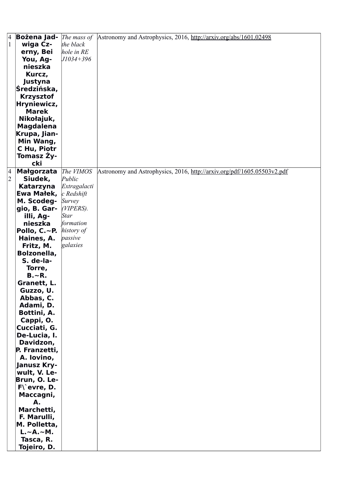| 4              | <b>Bożena Jad-</b> <i>The mass of</i> |               | Astronomy and Astrophysics, 2016, http://arxiv.org/abs/1601.02498       |
|----------------|---------------------------------------|---------------|-------------------------------------------------------------------------|
| $\mathbf{1}$   | wiga Cz-                              | the black     |                                                                         |
|                | erny, Bei                             | hole in RE    |                                                                         |
|                | You, Ag-                              | $J1034+396$   |                                                                         |
|                | nieszka                               |               |                                                                         |
|                |                                       |               |                                                                         |
|                | Kurcz,                                |               |                                                                         |
|                | Justyna                               |               |                                                                         |
|                | Średzińska,                           |               |                                                                         |
|                | <b>Krzysztof</b>                      |               |                                                                         |
|                | Hryniewicz,                           |               |                                                                         |
|                | <b>Marek</b>                          |               |                                                                         |
|                | Nikołajuk,                            |               |                                                                         |
|                | <b>Magdalena</b>                      |               |                                                                         |
|                | Krupa, Jian-                          |               |                                                                         |
|                | Min Wang,                             |               |                                                                         |
|                |                                       |               |                                                                         |
|                | C Hu, Piotr                           |               |                                                                         |
|                | Tomasz Ży-                            |               |                                                                         |
|                | cki                                   |               |                                                                         |
| 4              | Małgorzata The VIMOS                  |               | Astronomy and Astrophysics, 2016, http://arxiv.org/pdf/1605.05503v2.pdf |
| $\overline{2}$ | Siudek,                               | Public        |                                                                         |
|                | Katarzyna                             | Extragalacti  |                                                                         |
|                | Ewa Małek,                            | c Redshift    |                                                                         |
|                | M. Scodeg-                            | <b>Survey</b> |                                                                         |
|                | gio, B. Gar-                          | $(VIPERS)$ .  |                                                                         |
|                | illi, Ag-                             | <b>Star</b>   |                                                                         |
|                | nieszka                               | formation     |                                                                         |
|                | Pollo, $C.~P.$                        | history of    |                                                                         |
|                |                                       | passive       |                                                                         |
|                | Haines, A.                            |               |                                                                         |
|                | Fritz, M.                             | galaxies      |                                                                         |
|                | Bolzonella,                           |               |                                                                         |
|                | S. de-la-                             |               |                                                                         |
|                | Torre,                                |               |                                                                         |
|                | $B - R$ .                             |               |                                                                         |
|                | Granett, L.                           |               |                                                                         |
|                | Guzzo, U.                             |               |                                                                         |
|                | Abbas, C.                             |               |                                                                         |
|                | Adami, D.                             |               |                                                                         |
|                | Bottini, A.                           |               |                                                                         |
|                | Cappi, O.                             |               |                                                                         |
|                | Cucciati, G.                          |               |                                                                         |
|                | De-Lucia, I.                          |               |                                                                         |
|                |                                       |               |                                                                         |
|                | Davidzon,                             |               |                                                                         |
|                | P. Franzetti,                         |               |                                                                         |
|                | A. Iovino,                            |               |                                                                         |
|                | Janusz Kry-                           |               |                                                                         |
|                | wult, V. Le-                          |               |                                                                         |
|                | Brun, O. Le-                          |               |                                                                         |
|                | $F\$ evre, D.                         |               |                                                                         |
|                | Maccagni,                             |               |                                                                         |
|                | А.                                    |               |                                                                         |
|                | Marchetti,                            |               |                                                                         |
|                | F. Marulli,                           |               |                                                                         |
|                | M. Polletta,                          |               |                                                                         |
|                | $L.~\sim$ A. $~\sim$ M.               |               |                                                                         |
|                |                                       |               |                                                                         |
|                | Tasca, R.                             |               |                                                                         |
|                | Tojeiro, D.                           |               |                                                                         |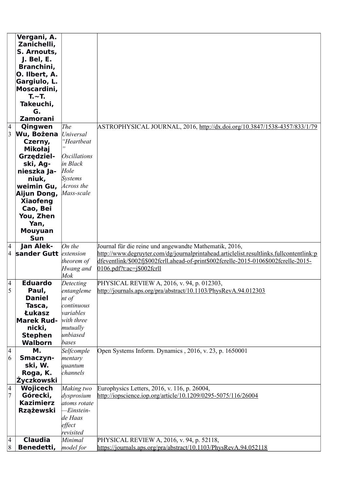|                          | Vergani, A.                    |                                |                                                                                         |
|--------------------------|--------------------------------|--------------------------------|-----------------------------------------------------------------------------------------|
|                          | Zanichelli,                    |                                |                                                                                         |
|                          | S. Arnouts,<br>J. Bel, E.      |                                |                                                                                         |
|                          | Branchini,                     |                                |                                                                                         |
|                          | O. Ilbert, A.                  |                                |                                                                                         |
|                          | Gargiulo, L.                   |                                |                                                                                         |
|                          | Moscardini,                    |                                |                                                                                         |
|                          | $T - T$                        |                                |                                                                                         |
|                          | Takeuchi,                      |                                |                                                                                         |
|                          | G.                             |                                |                                                                                         |
|                          | <b>Zamorani</b>                |                                |                                                                                         |
| $\vert 4$                | Qingwen                        | The                            | ASTROPHYSICAL JOURNAL, 2016, http://dx.doi.org/10.3847/1538-4357/833/1/79               |
| $\overline{3}$           | Wu, Bożena                     | Universal                      |                                                                                         |
|                          | Czerny,                        | "Heartbeat                     |                                                                                         |
|                          | Mikołaj                        |                                |                                                                                         |
|                          | Grzędziel-                     | <i><b>Oscillations</b></i>     |                                                                                         |
|                          | ski, Ag-                       | in Black                       |                                                                                         |
|                          | nieszka Ja-                    | Hole                           |                                                                                         |
|                          | niuk,                          | <b>Systems</b><br>Across the   |                                                                                         |
|                          | weimin Gu,                     | Mass-scale                     |                                                                                         |
|                          | Aijun Dong,<br><b>Xiaofeng</b> |                                |                                                                                         |
|                          | Cao, Bei                       |                                |                                                                                         |
|                          | You, Zhen                      |                                |                                                                                         |
|                          | Yan,                           |                                |                                                                                         |
|                          | <b>Mouyuan</b>                 |                                |                                                                                         |
|                          | Sun                            |                                |                                                                                         |
| $\vert 4$                | Jan Alek-                      | On the                         | Journal für die reine und angewandte Mathematik, 2016,                                  |
| $\overline{\mathcal{A}}$ | sander Gutt <i>extension</i>   |                                | http://www.degruyter.com/dg/journalprintahead.articlelist.resultlinks.fullcontentlink:p |
|                          |                                | theorem of                     | dfeventlink/\$002fj\$002fcrll.ahead-of-print\$002fcrelle-2015-0106\$002fcrelle-2015-    |
|                          |                                | Hwang and                      | $0106$ .pdf?t:ac=j\$002fcrll                                                            |
|                          |                                | $M$ o $k$                      |                                                                                         |
| $\vert 4$<br>5           | <b>Eduardo</b>                 | Detecting                      | PHYSICAL REVIEW A, 2016, v. 94, p. 012303,                                              |
|                          | Paul,<br><b>Daniel</b>         | entangleme                     | http://journals.aps.org/pra/abstract/10.1103/PhysRevA.94.012303                         |
|                          | Tasca,                         | $nt \text{ of }$<br>continuous |                                                                                         |
|                          | Łukasz                         | wariables                      |                                                                                         |
|                          | <b>Marek Rud-</b>              | with three                     |                                                                                         |
|                          | nicki,                         | mutually                       |                                                                                         |
|                          | <b>Stephen</b>                 | unbiased                       |                                                                                         |
|                          | <b>Walborn</b>                 | bases                          |                                                                                         |
| $\vert 4$                | М.                             | Selfcomple                     | Open Systems Inform. Dynamics, 2016, v. 23, p. 1650001                                  |
| 6                        | Smaczyn-                       | mentary                        |                                                                                         |
|                          | ski, W.                        | quantum                        |                                                                                         |
|                          | Roga, K.                       | channels                       |                                                                                         |
|                          | Życzkowski                     |                                |                                                                                         |
| 4                        | <b>Wojicech</b>                | Making two                     | Europhysics Letters, 2016, v. 116, p. 26004,                                            |
| $\overline{7}$           | Górecki,                       | dysprosium                     | http://iopscience.iop.org/article/10.1209/0295-5075/116/26004                           |
|                          | <b>Kazimierz</b>               | atoms rotate                   |                                                                                         |
|                          | <b>Rzążewski</b>               | Einstein-<br>de Haas           |                                                                                         |
|                          |                                | effect                         |                                                                                         |
|                          |                                |                                |                                                                                         |
|                          |                                |                                |                                                                                         |
| $\vert 4 \vert$          | <b>Claudia</b>                 | revisited<br>Minimal           | PHYSICAL REVIEW A, 2016, v. 94, p. 52118,                                               |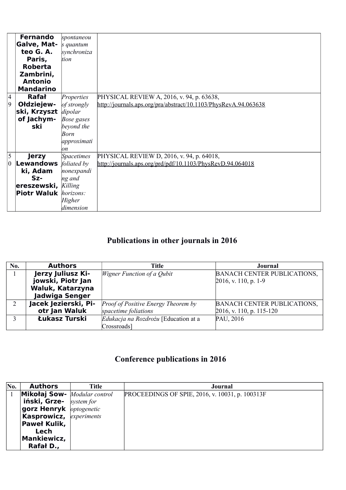|                  | <b>Fernando</b>                     | spontaneou        |                                                                 |
|------------------|-------------------------------------|-------------------|-----------------------------------------------------------------|
|                  | Galve, Mat-                         | s quantum         |                                                                 |
|                  | teo G. A.                           | synchroniza       |                                                                 |
|                  | Paris,                              | tion              |                                                                 |
|                  | <b>Roberta</b>                      |                   |                                                                 |
|                  | Zambrini,                           |                   |                                                                 |
|                  | <b>Antonio</b>                      |                   |                                                                 |
|                  | <b>Mandarino</b>                    |                   |                                                                 |
| $\vert 4 \vert$  | <b>Rafał</b>                        | Properties        | PHYSICAL REVIEW A, 2016, v. 94, p. 63638,                       |
| $\vert 9$        | Ołdziejew-                          | of strongly       | http://journals.aps.org/pra/abstract/10.1103/PhysRevA.94.063638 |
|                  | ski, Krzyszt dipolar                |                   |                                                                 |
|                  | of Jachym-                          | Bose gases        |                                                                 |
|                  | ski                                 | beyond the        |                                                                 |
|                  |                                     | Born              |                                                                 |
|                  |                                     | approximati       |                                                                 |
|                  |                                     | on                |                                                                 |
| 5                | <b>Jerzy</b>                        | <b>Spacetimes</b> | PHYSICAL REVIEW D, 2016, v. 94, p. 64018,                       |
| $\boldsymbol{0}$ | <b>Lewandows</b>                    | foliated by       | http://journals.aps.org/prd/pdf/10.1103/PhysRevD.94.064018      |
|                  | ki, Adam                            | nonexpandi        |                                                                 |
|                  | $Sz-$                               | ng and            |                                                                 |
|                  | ereszewski, Killing                 |                   |                                                                 |
|                  | <b>Piotr Waluk</b> <i>horizons:</i> |                   |                                                                 |
|                  |                                     | Higher            |                                                                 |
|                  |                                     | dimension         |                                                                 |

# **Publications in other journals in 2016**

| No. | <b>Authors</b>        | <b>Title</b>                         | Journal                            |
|-----|-----------------------|--------------------------------------|------------------------------------|
|     | Jerzy Juliusz Ki-     | <i>Wigner Function of a Qubit</i>    | <b>BANACH CENTER PUBLICATIONS,</b> |
|     | jowski, Piotr Jan     |                                      | $2016$ , v. 110, p. 1-9            |
|     | Waluk, Katarzyna      |                                      |                                    |
|     | <b>Jadwiga Senger</b> |                                      |                                    |
|     | Jacek Jezierski, Pi-  | Proof of Positive Energy Theorem by  | <b>BANACH CENTER PUBLICATIONS,</b> |
|     | otr Jan Waluk         | spacetime foliations                 | $2016$ , v. 110, p. 115-120        |
|     | Łukasz Turski         | Edukacja na Rozdrożu [Education at a | PAU, 2016                          |
|     |                       | Crossroads]                          |                                    |

# **Conference publications in 2016**

| No. | <b>Authors</b>                             | <b>Title</b> | Journal                                         |
|-----|--------------------------------------------|--------------|-------------------------------------------------|
|     | <b>Mikołaj Sow-</b> <i>Modular control</i> |              | PROCEEDINGS OF SPIE, 2016, v. 10031, p. 100313F |
|     | iński, Grze-                               | system for   |                                                 |
|     | gorz Henryk <i>optogenetic</i>             |              |                                                 |
|     | <b>Kasprowicz, experiments</b>             |              |                                                 |
|     | <b>Paweł Kulik,</b>                        |              |                                                 |
|     | Lech                                       |              |                                                 |
|     | <b>Mankiewicz,</b>                         |              |                                                 |
|     | Rafał D.,                                  |              |                                                 |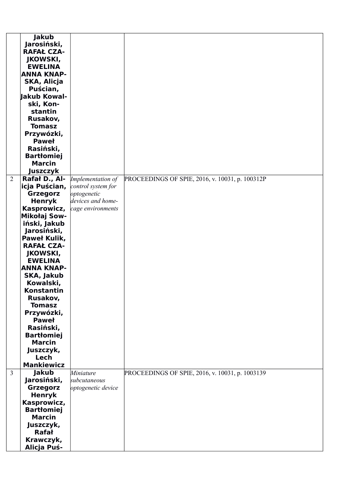|                | <b>Jakub</b><br>Jarosiński,             |                    |                                                 |
|----------------|-----------------------------------------|--------------------|-------------------------------------------------|
|                | <b>RAFAŁ CZA-</b>                       |                    |                                                 |
|                | <b>JKOWSKI,</b>                         |                    |                                                 |
|                | <b>EWELINA</b>                          |                    |                                                 |
|                | <b>ANNA KNAP-</b>                       |                    |                                                 |
|                | SKA, Alicja                             |                    |                                                 |
|                | Puścian,<br><b>Jakub Kowal-</b>         |                    |                                                 |
|                | ski, Kon-                               |                    |                                                 |
|                | stantin                                 |                    |                                                 |
|                | Rusakov,                                |                    |                                                 |
|                | <b>Tomasz</b>                           |                    |                                                 |
|                | Przywózki,                              |                    |                                                 |
|                | <b>Paweł</b>                            |                    |                                                 |
|                | Rasiński,                               |                    |                                                 |
|                | <b>Bartłomiej</b><br><b>Marcin</b>      |                    |                                                 |
|                | <b>Juszczyk</b>                         |                    |                                                 |
| $\overline{2}$ | Rafał D., Al-                           | Implementation of  | PROCEEDINGS OF SPIE, 2016, v. 10031, p. 100312P |
|                | <b>icja Puścian,</b> control system for |                    |                                                 |
|                | Grzegorz                                | optogenetic        |                                                 |
|                | <b>Henryk</b>                           | devices and home-  |                                                 |
|                | Kasprowicz,                             | cage environments  |                                                 |
|                | Mikołaj Sow-                            |                    |                                                 |
|                | iński, Jakub                            |                    |                                                 |
|                | Jarosiński,<br><b>Paweł Kulik,</b>      |                    |                                                 |
|                | <b>RAFAŁ CZA-</b>                       |                    |                                                 |
|                | <b>JKOWSKI,</b>                         |                    |                                                 |
|                | <b>EWELINA</b>                          |                    |                                                 |
|                | <b>ANNA KNAP-</b>                       |                    |                                                 |
|                | SKA, Jakub                              |                    |                                                 |
|                | Kowalski,                               |                    |                                                 |
|                | <b>Konstantin</b><br>Rusakov,           |                    |                                                 |
|                | <b>Tomasz</b>                           |                    |                                                 |
|                | Przywózki,                              |                    |                                                 |
|                | <b>Paweł</b>                            |                    |                                                 |
|                | Rasiński,                               |                    |                                                 |
|                | <b>Bartłomiej</b>                       |                    |                                                 |
|                | <b>Marcin</b>                           |                    |                                                 |
|                | Juszczyk,<br>Lech                       |                    |                                                 |
|                | <b>Mankiewicz</b>                       |                    |                                                 |
| $\overline{3}$ | <b>Jakub</b>                            | Miniature          | PROCEEDINGS OF SPIE, 2016, v. 10031, p. 1003139 |
|                | Jarosiński,                             | subcutaneous       |                                                 |
|                | Grzegorz                                | optogenetic device |                                                 |
|                | <b>Henryk</b>                           |                    |                                                 |
|                | Kasprowicz,                             |                    |                                                 |
|                | <b>Bartłomiej</b><br><b>Marcin</b>      |                    |                                                 |
|                | Juszczyk,                               |                    |                                                 |
|                | <b>Rafał</b>                            |                    |                                                 |
|                | Krawczyk,                               |                    |                                                 |
|                | Alicja Puś-                             |                    |                                                 |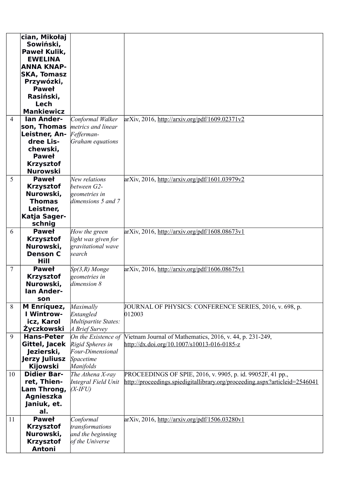|                | cian, Mikołaj            |                      |                                                                             |
|----------------|--------------------------|----------------------|-----------------------------------------------------------------------------|
|                | Sowiński,                |                      |                                                                             |
|                | <b>Paweł Kulik,</b>      |                      |                                                                             |
|                | <b>EWELINA</b>           |                      |                                                                             |
|                | <b>ANNA KNAP-</b>        |                      |                                                                             |
|                | <b>SKA, Tomasz</b>       |                      |                                                                             |
|                | Przywózki,               |                      |                                                                             |
|                | <b>Paweł</b>             |                      |                                                                             |
|                | Rasiński,                |                      |                                                                             |
|                | Lech                     |                      |                                                                             |
|                | <b>Mankiewicz</b>        |                      |                                                                             |
| $\overline{4}$ | <b>lan Ander-</b>        | Conformal Walker     | $arXiv$ , 2016, http://arxiv.org/pdf/1609.02371v2                           |
|                | son, Thomas              | metrics and linear   |                                                                             |
|                | Leistner, An- Fefferman- |                      |                                                                             |
|                | dree Lis-                | Graham equations     |                                                                             |
|                | chewski,                 |                      |                                                                             |
|                | <b>Paweł</b>             |                      |                                                                             |
|                | <b>Krzysztof</b>         |                      |                                                                             |
|                | <b>Nurowski</b>          |                      |                                                                             |
| 5              | <b>Paweł</b>             | New relations        | $arXiv$ , 2016, http://arxiv.org/pdf/1601.03979v2                           |
|                | <b>Krzysztof</b>         | between G2-          |                                                                             |
|                | Nurowski,                | geometries in        |                                                                             |
|                | <b>Thomas</b>            | dimensions 5 and 7   |                                                                             |
|                | Leistner,                |                      |                                                                             |
|                | Katja Sager-             |                      |                                                                             |
|                | schnig                   |                      |                                                                             |
| 6              | <b>Paweł</b>             | How the green        | $arXiv$ , 2016, http://arxiv.org/pdf/1608.08673v1                           |
|                | <b>Krzysztof</b>         | light was given for  |                                                                             |
|                | Nurowski,                | gravitational wave   |                                                                             |
|                | <b>Denson C</b>          | search               |                                                                             |
|                | Hill                     |                      |                                                                             |
| $\overline{7}$ | <b>Paweł</b>             | $Sp(3,R)$ Monge      | $arXiv$ , 2016, http://arxiv.org/pdf/1606.08675y1                           |
|                | <b>Krzysztof</b>         | geometries in        |                                                                             |
|                | Nurowski,                | dimension 8          |                                                                             |
|                | lan Ander-               |                      |                                                                             |
|                | son                      |                      |                                                                             |
| 8              | M Enríquez,              | Maximally            | JOURNAL OF PHYSICS: CONFERENCE SERIES, 2016, v. 698, p.                     |
|                | <b>I Wintrow-</b>        | Entangled            | 012003                                                                      |
|                | icz, Karol               | Multipartite States: |                                                                             |
|                | Życzkowski               | A Brief Survey       |                                                                             |
| 9              | <b>Hans-Peter</b>        | On the Existence of  | Vietnam Journal of Mathematics, 2016, v. 44, p. 231-249,                    |
|                | Gittel, Jacek            | Rigid Spheres in     | http://dx.doi.org/10.1007/s10013-016-0185-z                                 |
|                | Jezierski,               | Four-Dimensional     |                                                                             |
|                | <b>Jerzy Juliusz</b>     | Spacetime            |                                                                             |
|                | <b>Kijowski</b>          | Manifolds            |                                                                             |
| 10             | <b>Didier Bar-</b>       | The Athena X-ray     | PROCEEDINGS OF SPIE, 2016, v. 9905, p. id. 99052F, 41 pp.,                  |
|                | ret, Thien-              | Integral Field Unit  | http://proceedings.spiedigitallibrary.org/proceeding.aspx?articleid=2546041 |
|                | Lam Throng,              | $(X$ -IFU)           |                                                                             |
|                | <b>Agnieszka</b>         |                      |                                                                             |
|                | Janiuk, et.              |                      |                                                                             |
|                | al.                      |                      |                                                                             |
| 11             | <b>Paweł</b>             | Conformal            | arXiv, 2016, http://arxiv.org/pdf/1506.03280v1                              |
|                | <b>Krzysztof</b>         | transformations      |                                                                             |
|                | Nurowski,                | and the beginning    |                                                                             |
|                | <b>Krzysztof</b>         | of the Universe      |                                                                             |
|                | <b>Antoni</b>            |                      |                                                                             |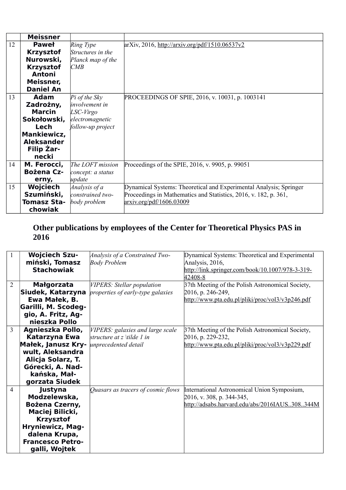|    | <b>Meissner</b>    |                       |                                                                    |
|----|--------------------|-----------------------|--------------------------------------------------------------------|
| 12 | <b>Paweł</b>       | Ring Type             | $arXiv$ , 2016, http://arxiv.org/pdf/1510.06537v2                  |
|    | <b>Krzysztof</b>   | Structures in the     |                                                                    |
|    | Nurowski,          | Planck map of the     |                                                                    |
|    | <b>Krzysztof</b>   | CMB                   |                                                                    |
|    | <b>Antoni</b>      |                       |                                                                    |
|    | Meissner,          |                       |                                                                    |
|    | <b>Daniel An</b>   |                       |                                                                    |
| 13 | <b>Adam</b>        | $Pi$ of the Sky       | PROCEEDINGS OF SPIE, 2016, v. 10031, p. 1003141                    |
|    | Zadrożny,          | <i>involvement in</i> |                                                                    |
|    | <b>Marcin</b>      | LSC-Virgo             |                                                                    |
|    | Sokołowski,        | electromagnetic       |                                                                    |
|    | Lech               | follow-up project     |                                                                    |
|    | <b>Mankiewicz,</b> |                       |                                                                    |
|    | <b>Aleksander</b>  |                       |                                                                    |
|    | <b>Filip Zar-</b>  |                       |                                                                    |
|    | necki              |                       |                                                                    |
| 14 | M. Ferocci,        | The LOFT mission      | Proceedings of the SPIE, 2016, v. 9905, p. 99051                   |
|    | <b>Bożena Cz-</b>  | concept: a status     |                                                                    |
|    | erny,              | update                |                                                                    |
| 15 | Wojciech           | Analysis of a         | Dynamical Systems: Theoretical and Experimental Analysis; Springer |
|    | Szumiński,         | constrained two-      | Proceedings in Mathematics and Statistics, 2016, v. 182, p. 361,   |
|    | <b>Tomasz Sta-</b> | body problem          | arxiv.org/pdf/1606.03009                                           |
|    | chowiak            |                       |                                                                    |

### **Other publications by employees of the Center for Theoretical Physics PAS in 2016**

|                | <b>Wojciech Szu-</b>    | Analysis of a Constrained Two-     | Dynamical Systems: Theoretical and Experimental  |
|----------------|-------------------------|------------------------------------|--------------------------------------------------|
|                | miński, Tomasz          | <b>Body Problem</b>                | Analysis, 2016,                                  |
|                | <b>Stachowiak</b>       |                                    | http://link.springer.com/book/10.1007/978-3-319- |
|                |                         |                                    | 42408-8                                          |
| $\overline{2}$ | Małgorzata              | VIPERS: Stellar population         | 37th Meeting of the Polish Astronomical Society, |
|                | Siudek, Katarzyna       | properties of early-type galaxies  | 2016, p. 246-249,                                |
|                | Ewa Małek, B.           |                                    | http://www.pta.edu.pl/pliki/proc/vol3/v3p246.pdf |
|                | Garilli, M. Scodeg-     |                                    |                                                  |
|                | gio, A. Fritz, Ag-      |                                    |                                                  |
|                | nieszka Pollo           |                                    |                                                  |
| 3              | Agnieszka Pollo,        | VIPERS: galaxies and large scale   | 37th Meeting of the Polish Astronomical Society, |
|                | Katarzyna Ewa           | structure at z \tilde 1 in         | 2016, p. 229-232,                                |
|                | Małek, Janusz Kry-      | unprecedented detail               | http://www.pta.edu.pl/pliki/proc/vol3/v3p229.pdf |
|                | wult, Aleksandra        |                                    |                                                  |
|                | Alicja Solarz, T.       |                                    |                                                  |
|                | Górecki, A. Nad-        |                                    |                                                  |
|                | kańska, Mał-            |                                    |                                                  |
|                | gorzata Siudek          |                                    |                                                  |
| $\overline{4}$ | Justyna                 | Quasars as tracers of cosmic flows | International Astronomical Union Symposium,      |
|                | Modzelewska,            |                                    | 2016, v. 308, p. 344-345,                        |
|                | Bożena Czerny,          |                                    | http://adsabs.harvard.edu/abs/2016IAUS308344M    |
|                | Maciej Bilicki,         |                                    |                                                  |
|                | <b>Krzysztof</b>        |                                    |                                                  |
|                | <b>Hryniewicz, Mag-</b> |                                    |                                                  |
|                | dalena Krupa,           |                                    |                                                  |
|                | <b>Francesco Petro-</b> |                                    |                                                  |
|                | galli, Wojtek           |                                    |                                                  |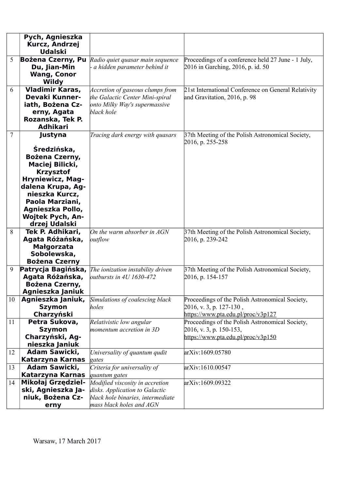|                | Pych, Agnieszka                    |                                             |                                                     |
|----------------|------------------------------------|---------------------------------------------|-----------------------------------------------------|
|                | Kurcz, Andrzej                     |                                             |                                                     |
|                | <b>Udalski</b>                     |                                             |                                                     |
| 5              | Bożena Czerny, Pu                  | Radio quiet quasar main sequence            | Proceedings of a conference held 27 June - 1 July,  |
|                | Du, Jian-Min                       | a hidden parameter behind it                | 2016 in Garching, 2016, p. id. 50                   |
|                | <b>Wang, Conor</b>                 |                                             |                                                     |
|                | <b>Wildy</b>                       |                                             |                                                     |
| 6              | Vladimir Karas,                    | Accretion of gaseous clumps from            | 21st International Conference on General Relativity |
|                | <b>Devaki Kunner-</b>              | the Galactic Center Mini-spiral             | and Gravitation, 2016, p. 98                        |
|                | iath, Bożena Cz-                   | onto Milky Way's supermassive<br>black hole |                                                     |
|                | erny, Agata<br>Rozanska, Tek P.    |                                             |                                                     |
|                | <b>Adhikari</b>                    |                                             |                                                     |
| $\overline{7}$ | Justyna                            | Tracing dark energy with quasars            | 37th Meeting of the Polish Astronomical Society,    |
|                |                                    |                                             | 2016, p. 255-258                                    |
|                | Średzińska,                        |                                             |                                                     |
|                | <b>Bożena Czerny,</b>              |                                             |                                                     |
|                | Maciej Bilicki,                    |                                             |                                                     |
|                | <b>Krzysztof</b>                   |                                             |                                                     |
|                | <b>Hryniewicz, Mag-</b>            |                                             |                                                     |
|                | dalena Krupa, Ag-                  |                                             |                                                     |
|                | nieszka Kurcz,                     |                                             |                                                     |
|                | Paola Marziani,                    |                                             |                                                     |
|                | Agnieszka Pollo,                   |                                             |                                                     |
|                | <b>Wojtek Pych, An-</b>            |                                             |                                                     |
|                | drzej Udalski                      |                                             |                                                     |
| 8              | Tek P. Adhikari,                   | On the warm absorber in $AGN$               | 37th Meeting of the Polish Astronomical Society,    |
|                | Agata Różańska,                    | outflow                                     | 2016, p. 239-242                                    |
|                | Małgorzata                         |                                             |                                                     |
|                | Sobolewska,                        |                                             |                                                     |
|                | <b>Bożena Czerny</b>               |                                             |                                                     |
| 9              | Patrycja Bagińska,                 | The ionization instability driven           | 37th Meeting of the Polish Astronomical Society,    |
|                | Agata Różańska,                    | outbursts in 4U 1630-472                    | 2016, p. 154-157                                    |
|                | Bożena Czerny,<br>Agnieszka Janiuk |                                             |                                                     |
| 10             | Agnieszka Janiuk,                  | Simulations of coalescing black             | Proceedings of the Polish Astronomical Society,     |
|                | <b>Szymon</b>                      | holes                                       | $2016$ , v. 3, p. 127-130,                          |
|                | Charzyński                         |                                             | https://www.pta.edu.pl/proc/v3p127                  |
| 11             | Petra Sukova,                      | Relativistic low angular                    | Proceedings of the Polish Astronomical Society,     |
|                | <b>Szymon</b>                      | momentum accretion in 3D                    | 2016, v. 3, p. 150-153,                             |
|                | Charzyński, Ag-                    |                                             | https://www.pta.edu.pl/proc/v3p150                  |
|                | nieszka Janiuk                     |                                             |                                                     |
| 12             | Adam Sawicki,                      | Universality of quantum qudit               | arXiv:1609.05780                                    |
|                | Katarzyna Karnas                   | gates                                       |                                                     |
| 13             | Adam Sawicki,                      | Criteria for universality of                | arXiv:1610.00547                                    |
|                | Katarzyna Karnas                   | quantum gates                               |                                                     |
| 14             | Mikołaj Grzędziel-                 | Modified viscosity in accretion             | arXiv:1609.09322                                    |
|                | ski, Agnieszka Ja-                 | disks. Application to Galactic              |                                                     |
|                | niuk, Bożena Cz-                   | black hole binaries, intermediate           |                                                     |
|                | erny                               | mass black holes and AGN                    |                                                     |